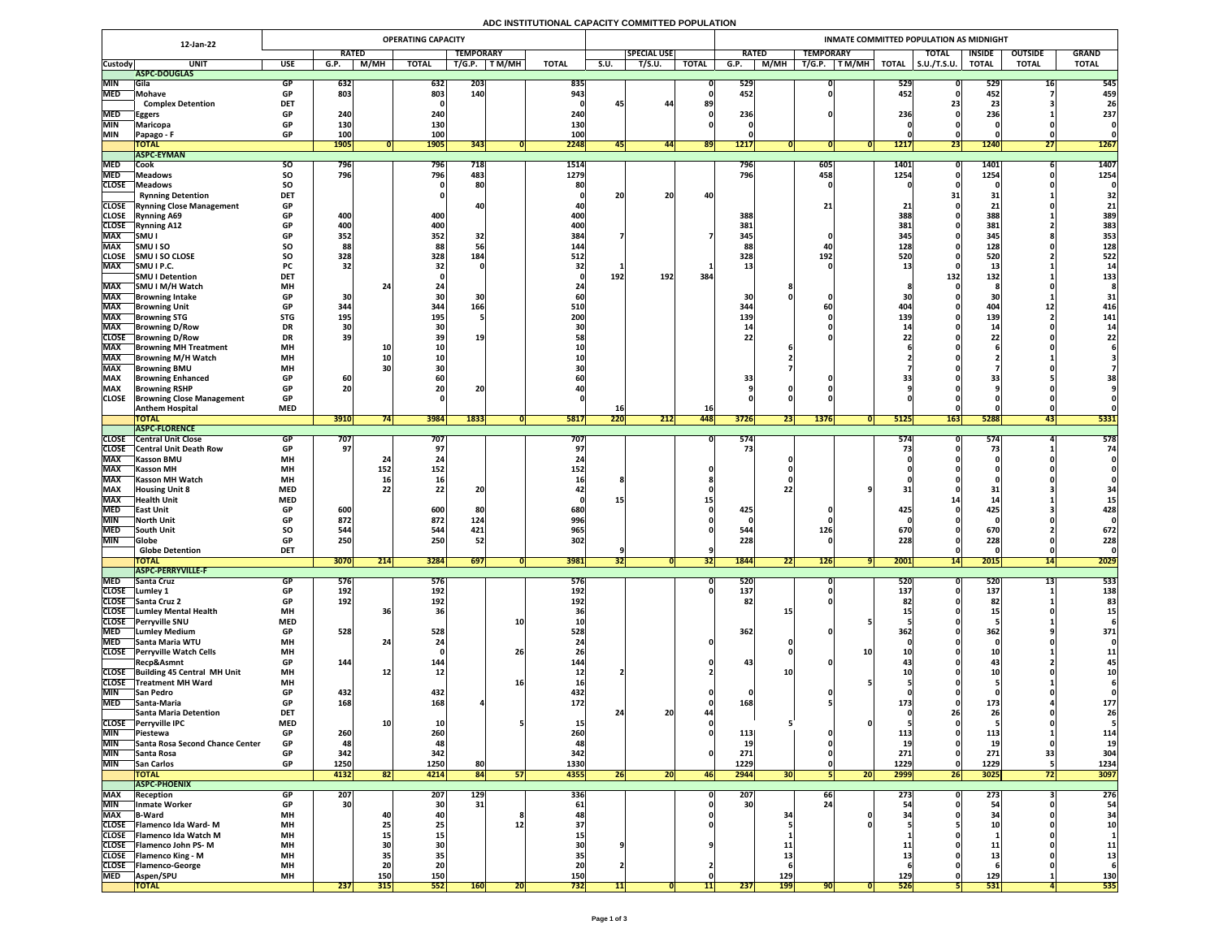# **ADC INSTITUTIONAL CAPACITY COMMITTED POPULATION**

|                            | 12-Jan-22                                                         | <b>OPERATING CAPACITY</b> |                   |             |                   |                  |        |                   |                 |                    |              | INMATE COMMITTED POPULATION AS MIDNIGHT |                 |                  |              |             |                     |                      |                |                  |  |  |  |
|----------------------------|-------------------------------------------------------------------|---------------------------|-------------------|-------------|-------------------|------------------|--------|-------------------|-----------------|--------------------|--------------|-----------------------------------------|-----------------|------------------|--------------|-------------|---------------------|----------------------|----------------|------------------|--|--|--|
|                            |                                                                   |                           | <b>RATED</b>      |             |                   | <b>TEMPORARY</b> |        |                   |                 | <b>SPECIAL USE</b> |              | <b>RATED</b>                            |                 | <b>TEMPORARY</b> |              |             | <b>TOTAL</b>        | <b>INSIDE</b>        | <b>OUTSIDE</b> | <b>GRAND</b>     |  |  |  |
| <b>Custody</b>             | <b>UNIT</b>                                                       | <b>USE</b>                | G.P.              | <b>M/MH</b> | <b>TOTAL</b>      | T/G.P.           | T M/MH | <b>TOTAL</b>      | S.U.            | T/S.U.             | <b>TOTAL</b> | G.P.                                    | M/MH            | T/G.P.<br>T M/MH | <b>TOTAL</b> |             | $\vert$ S.U./T.S.U. | <b>TOTAL</b>         | <b>TOTAL</b>   | <b>TOTAL</b>     |  |  |  |
| <b>MIN</b>                 | ASPC-DOUGLAS<br><b>Gila</b>                                       | <b>GP</b>                 | 632               |             | 632               | 203              |        | 835               |                 |                    |              | 529                                     |                 |                  |              | 529         |                     | 529                  |                | 545              |  |  |  |
| <b>MED</b>                 | <b>Mohave</b>                                                     | <b>GP</b>                 | 803               |             | 803               | 140              |        | 943               |                 |                    |              | 452                                     |                 |                  |              | 452         |                     | 452                  |                | 459              |  |  |  |
|                            | <b>Complex Detention</b>                                          | <b>DET</b>                |                   |             |                   |                  |        |                   | 45              | -44                | 89           |                                         |                 |                  |              |             |                     | 23                   |                | 26               |  |  |  |
| <b>MED</b>                 | Eggers                                                            | <b>GP</b>                 | 240               |             | 240               |                  |        | 240               |                 |                    |              | 236                                     |                 |                  |              | 236         |                     | 236                  |                | 237              |  |  |  |
| <b>MIN</b><br><b>MIN</b>   | <b>Maricopa</b>                                                   | <b>GP</b><br><b>GP</b>    | 130<br><b>100</b> |             | 130<br><b>100</b> |                  |        | 130<br><b>100</b> |                 |                    |              |                                         |                 |                  |              |             |                     |                      |                |                  |  |  |  |
|                            | Papago - F<br><b>TOTAL</b>                                        |                           | <b>1905</b>       |             | <b>1905</b>       | 343              |        | 2248              | $\overline{45}$ | 44                 | 89           | <b>1217</b>                             |                 |                  |              | <b>1217</b> | 23                  | <b>1240</b>          | 97<br>211      | <b>1267</b>      |  |  |  |
|                            | <b>ASPC-EYMAN</b>                                                 |                           |                   |             |                   |                  |        |                   |                 |                    |              |                                         |                 |                  |              |             |                     |                      |                |                  |  |  |  |
| <b>MED</b>                 | <b>Cook</b>                                                       | <b>SO</b>                 | 796               |             | 796               | 718              |        | <b>1514</b>       |                 |                    |              | 796                                     |                 | 605              |              | <b>1401</b> |                     | 1401                 |                | <b>1407</b>      |  |  |  |
| <b>MED</b>                 | <b>Meadows</b>                                                    | <b>SO</b>                 | 796               |             | 796               | 483              |        | 1279              |                 |                    |              | 796                                     |                 | 458              |              | 1254        |                     | 1254                 |                | 1254             |  |  |  |
| <b>CLOSE</b>               | <b>Meadows</b>                                                    | SO                        |                   |             |                   | 80               |        | 80                | $\mathbf{a}$    | ിറ                 |              |                                         |                 |                  |              |             | 94                  | 91                   |                | 32               |  |  |  |
|                            | <b>Rynning Detention</b><br><b>CLOSE</b> Rynning Close Management | <b>DET</b><br><b>GP</b>   |                   |             |                   |                  |        |                   | ZU              | ZU                 |              |                                         |                 |                  |              |             | <b>JTI</b>          | J <sub>1</sub><br>21 |                |                  |  |  |  |
| <b>CLOSE</b>               | <b>Rynning A69</b>                                                | <b>GP</b>                 | 400               |             | 400               |                  |        | 400               |                 |                    |              | 388                                     |                 |                  |              | 388         |                     | 388                  |                | 389              |  |  |  |
|                            | <b>CLOSE</b> Rynning A12                                          | <b>GP</b>                 | 400               |             | 400               |                  |        | 400               |                 |                    |              | 381                                     |                 |                  |              | 381         |                     | 381                  |                | 383              |  |  |  |
| <b>MAX</b>                 | <b>SMU I</b>                                                      | <b>GP</b>                 | 352               |             | 352               | 32               |        | <b>384</b>        |                 |                    |              | 345                                     |                 |                  |              | <b>345 </b> |                     | 345                  |                | 353              |  |  |  |
| <b>MAX</b>                 | <b>SMUISO</b>                                                     | SO                        | 88                |             | 88                |                  |        | <b>144</b>        |                 |                    |              |                                         |                 |                  |              | 128<br>520  |                     | 128                  |                | 128              |  |  |  |
| <b>CLOSE</b><br><b>MAX</b> | <b>SMU I SO CLOSE</b><br>SMU I P.C.                               | SO<br><b>PC</b>           | 328<br>32         |             | 328               | 184              |        | 512               |                 |                    |              | 328                                     |                 | 192              |              |             |                     | 520<br>13            |                | 522<br><b>14</b> |  |  |  |
|                            | <b>SMUIDetention</b>                                              | <b>DET</b>                |                   |             |                   |                  |        |                   | 192             | <b>192</b>         | 384          |                                         |                 |                  |              |             | 132                 | 132                  |                | 133              |  |  |  |
| <b>MAX</b>                 | SMU I M/H Watch                                                   | <b>MH</b>                 |                   |             |                   |                  |        |                   |                 |                    |              |                                         |                 |                  |              |             |                     |                      |                |                  |  |  |  |
| <b>MAX</b>                 | <b>Browning Intake</b>                                            | <b>GP</b>                 | 30                |             |                   | <b>30</b>        |        |                   |                 |                    |              | 30 <sup>1</sup>                         |                 |                  |              |             |                     |                      |                |                  |  |  |  |
| <b>MAX</b>                 | <b>Browning Unit</b>                                              | <b>GP</b>                 | 344               |             | 344               | 166              |        | 510               |                 |                    |              | 344                                     |                 |                  |              | 404         |                     | 404                  |                | 416              |  |  |  |
| <b>MAX</b><br><b>MAX</b>   | <b>Browning STG</b><br><b>Browning D/Row</b>                      | <b>STG</b><br><b>DR</b>   | 195<br>30         |             | 195               |                  |        | 200               |                 |                    |              | <b>139</b>                              |                 |                  |              | <b>139</b>  |                     | <b>139</b>           |                | 141<br> 14       |  |  |  |
|                            | <b>CLOSE</b> Browning D/Row                                       | <b>DR</b>                 | 39                |             |                   |                  |        |                   |                 |                    |              | 221                                     |                 |                  |              |             |                     | 22                   |                | 221              |  |  |  |
| <b>MAX</b>                 | <b>Browning MH Treatment</b>                                      | <b>MH</b>                 |                   |             |                   |                  |        |                   |                 |                    |              |                                         |                 |                  |              |             |                     |                      |                |                  |  |  |  |
| <b>MAX</b>                 | <b>Browning M/H Watch</b>                                         | <b>MH</b>                 |                   |             |                   |                  |        | <b>10</b>         |                 |                    |              |                                         |                 |                  |              |             |                     |                      |                |                  |  |  |  |
| <b>MAX</b>                 | <b>Browning BMU</b>                                               | <b>MH</b>                 | 60                |             |                   |                  |        | 30<br>60          |                 |                    |              |                                         |                 |                  |              |             |                     |                      |                |                  |  |  |  |
| <b>MAX</b><br><b>MAX</b>   | <b>Browning Enhanced</b><br><b>Browning RSHP</b>                  | <b>GP</b><br><b>GP</b>    | 20                |             |                   | <b>20</b>        |        |                   |                 |                    |              | 33                                      |                 |                  |              |             |                     | 33                   |                | 38               |  |  |  |
| <b>CLOSE</b>               | <b>Browning Close Management</b>                                  | <b>GP</b>                 |                   |             |                   |                  |        |                   |                 |                    |              |                                         |                 |                  |              |             |                     |                      |                |                  |  |  |  |
|                            | <b>Anthem Hospital</b>                                            | <b>MED</b>                |                   |             |                   |                  |        |                   |                 |                    | <b>16</b>    |                                         |                 |                  |              |             |                     |                      |                |                  |  |  |  |
|                            | <b>TOTAL</b>                                                      |                           | 3910              | 74          | 3984              | 1833             |        | 5817              | 220             | $\overline{212}$   | 448          | 3726                                    | $\overline{23}$ | 1376             |              | 5125        | <b>163</b>          | 5288                 | 43             | 5331             |  |  |  |
| <b>CLOSE</b>               | <b>ASPC-FLORENCE</b><br><b>Central Unit Close</b>                 | <b>GP</b>                 | 707               |             | 707               |                  |        | 707               |                 |                    |              | 574                                     |                 |                  |              | 574         |                     | 574                  |                | 578              |  |  |  |
| <b>CLOSE</b>               | <b>Central Unit Death Row</b>                                     | <b>GP</b>                 | 97                |             |                   |                  |        | 97                |                 |                    |              | 73                                      |                 |                  |              |             |                     | 73                   |                | 74               |  |  |  |
| <b>MAX</b>                 | <b>Kasson BMU</b>                                                 | <b>MH</b>                 |                   |             | Z4                |                  |        | 24                |                 |                    |              |                                         |                 |                  |              |             |                     |                      |                |                  |  |  |  |
| <b>MAX</b>                 | <b>Kasson MH</b>                                                  | <b>MH</b>                 |                   | 152         | 152               |                  |        | 152               |                 |                    |              |                                         |                 |                  |              |             |                     |                      |                |                  |  |  |  |
| <b>MAX</b>                 | <b>Kasson MH Watch</b>                                            | <b>MH</b>                 |                   |             | 16                |                  |        |                   |                 |                    |              |                                         |                 |                  |              |             |                     |                      |                |                  |  |  |  |
| <b>MAX</b><br><b>MAX</b>   | <b>Housing Unit 8</b><br><b>Health Unit</b>                       | <b>MED</b><br><b>MED</b>  |                   | 22          | 22                | 20               |        |                   | 15 <sub>l</sub> |                    |              |                                         |                 |                  |              |             |                     | 31                   |                | 34               |  |  |  |
| <b>MED</b>                 | <b>East Unit</b>                                                  | <b>GP</b>                 | 600               |             | 600               | 80               |        | 680               |                 |                    |              | 425                                     |                 |                  |              | 425         |                     | 425                  |                | 428              |  |  |  |
| <b>MIN</b>                 | North Unit                                                        | <b>GP</b>                 | 872               |             | 872               | 124              |        | 996               |                 |                    |              |                                         |                 |                  |              |             |                     |                      |                |                  |  |  |  |
| <b>MED</b>                 | <b>South Unit</b>                                                 | <b>SO</b>                 | 544               |             | 544               | 421              |        | 965               |                 |                    |              | 544                                     |                 | <b>126</b>       |              | 670         |                     | 670                  |                | 672              |  |  |  |
| <b>MIN</b>                 | Globe                                                             | <b>GP</b>                 | 250               |             | 250               | 52               |        | 302               |                 |                    |              | 228                                     |                 |                  |              | 228         |                     | 228                  |                | 228              |  |  |  |
|                            | <b>Globe Detention</b><br><b>TOTAL</b>                            | <b>DET</b>                | 3070              | 214         | 3284              | 697              |        | 3981              | 32              |                    | 32           | <b>1844</b>                             | 22              | <b>126</b>       |              | 2001        | <b>14</b>           | 2015                 | 14             | 2029             |  |  |  |
|                            | <b>ASPC-PERRYVILLE-F</b>                                          |                           |                   |             |                   |                  |        |                   |                 |                    |              |                                         |                 |                  |              |             |                     |                      |                |                  |  |  |  |
| <b>MED</b>                 | <b>Santa Cruz</b>                                                 | <b>GP</b>                 | 576               |             | 576               |                  |        | 576               |                 |                    |              | 520                                     |                 |                  |              | 520         |                     | 520                  |                | 533              |  |  |  |
| <b>CLOSE</b>               | Lumley 1                                                          | <b>GP</b>                 | <b>192</b>        |             | 192               |                  |        | 192               |                 |                    |              | 137                                     |                 |                  |              | 137         |                     | <b>137</b>           |                | 138              |  |  |  |
|                            | CLOSE Santa Cruz 2<br><b>CLOSE</b> Lumley Mental Health           | <b>GP</b><br><b>MH</b>    | 192               |             | 192               |                  |        | 192               |                 |                    |              |                                         |                 |                  |              |             |                     | 82                   |                | 83               |  |  |  |
|                            | CLOSE Perryville SNU                                              | <b>MED</b>                |                   |             |                   |                  |        | <b>10</b>         |                 |                    |              |                                         |                 |                  |              |             |                     |                      |                |                  |  |  |  |
| <b>MED</b>                 | <b>Lumley Medium</b>                                              | <b>GP</b>                 | 528               |             | 528               |                  |        | 528               |                 |                    |              | 362                                     |                 |                  |              | 3621        |                     | 362                  |                | 371              |  |  |  |
| <b>MED</b>                 | Santa Maria WTU                                                   | <b>MH</b>                 |                   |             |                   |                  |        |                   |                 |                    |              |                                         |                 |                  |              |             |                     |                      |                |                  |  |  |  |
|                            | CLOSE Perryville Watch Cells                                      | <b>MH</b>                 |                   |             |                   |                  | 26     | 26                |                 |                    |              |                                         |                 |                  | 10I          |             |                     |                      |                |                  |  |  |  |
|                            | Recp&Asmnt<br>CLOSE Building 45 Central MH Unit                   | <b>GP</b><br><b>MH</b>    | 144               |             | 144               |                  |        | 144               |                 |                    |              | 43                                      |                 |                  |              |             |                     | 43                   |                | 45               |  |  |  |
|                            | <b>CLOSE</b> Treatment MH Ward                                    | <b>MH</b>                 |                   |             |                   |                  |        | <b>16</b>         |                 |                    |              |                                         |                 |                  |              |             |                     |                      |                |                  |  |  |  |
|                            | MIN San Pedro                                                     | <b>GP</b>                 | 432               |             | 432               |                  |        | 432               |                 |                    |              |                                         |                 |                  |              |             |                     |                      |                |                  |  |  |  |
| <b>MED</b>                 | Santa-Maria                                                       | <b>GP</b>                 | 168               |             | 168               |                  |        | $172$             |                 |                    |              | 168                                     |                 |                  |              | 173         |                     | 173                  |                | 177              |  |  |  |
|                            | <b>Santa Maria Detention</b>                                      | <b>DET</b>                |                   |             |                   |                  |        |                   | 241             | ZU.                |              |                                         |                 |                  |              |             |                     | 26                   |                | 26               |  |  |  |
| <b>MIN</b>                 | CLOSE Perryville IPC<br><b>Piestewa</b>                           | <b>MED</b><br><b>GP</b>   | 260               |             | 260               |                  |        | <b>15</b><br>260  |                 |                    |              | 113                                     |                 |                  |              | <u> 113</u> |                     | 113                  |                | 114              |  |  |  |
| <b>MIN</b>                 | Santa Rosa Second Chance Center                                   | <b>GP</b>                 |                   |             |                   |                  |        |                   |                 |                    |              |                                         |                 |                  |              |             |                     |                      |                | 19               |  |  |  |
| <b>MIN</b>                 | Santa Rosa                                                        | <b>GP</b>                 | 342'              |             | 342               |                  |        | 342               |                 |                    |              | 271                                     |                 |                  |              | 271         |                     | 271                  |                | 304              |  |  |  |
| <b>MIN</b>                 | <b>San Carlos</b>                                                 | <b>GP</b>                 | 1250              |             | 1250              | 80               |        | 1330              |                 |                    |              | 1229                                    |                 |                  |              | 1229        |                     | 1229                 |                | 1234             |  |  |  |
|                            | <b>TOTAL</b>                                                      |                           | 4132              | 82          | 4214              | 84               |        | 4355              | 26              | 20 <sup>1</sup>    | <b>461</b>   | 2944                                    | <b>30</b>       |                  | 20           | 2999        | <b>261</b>          | 3025                 | 72             | 3097             |  |  |  |
| <b>MAX</b>                 | <b>ASPC-PHOENIX</b><br><b>Reception</b>                           | <b>GP</b>                 | 207               |             | $\overline{207}$  | <b>129</b>       |        | 336               |                 |                    |              | <b>207</b>                              |                 | 66               |              | 273         |                     | $\overline{273}$     |                | 276              |  |  |  |
| <b>MIN</b>                 | Inmate Worker                                                     | <b>GP</b>                 | 30 <sup>1</sup>   |             |                   | 31               |        | 61                |                 |                    |              | 30 <sup>1</sup>                         |                 |                  |              |             |                     |                      |                | 54               |  |  |  |
| <b>MAX</b>                 | $\mathsf{\mathsf{T}}$ B-Ward                                      | <b>MH</b>                 |                   |             |                   |                  |        |                   |                 |                    |              |                                         | 27              |                  |              |             |                     | 34                   |                | 34               |  |  |  |
|                            | CLOSE   Flamenco Ida Ward-M                                       | <b>MH</b>                 |                   |             |                   |                  |        |                   |                 |                    |              |                                         |                 |                  |              |             |                     |                      |                |                  |  |  |  |
|                            | CLOSE Flamenco Ida Watch M<br><b>CLOSE</b> Flamenco John PS-M     | <b>MH</b><br><b>MH</b>    |                   |             |                   |                  |        |                   |                 |                    |              |                                         |                 |                  |              |             |                     |                      |                |                  |  |  |  |
|                            | <b>CLOSE</b> Flamenco King - M                                    | <b>MH</b>                 |                   |             |                   |                  |        |                   |                 |                    |              |                                         |                 |                  |              |             |                     |                      |                |                  |  |  |  |
|                            | CLOSE Flamenco-George                                             | <b>MH</b>                 |                   |             |                   |                  |        | 20                |                 |                    |              |                                         |                 |                  |              |             |                     |                      |                |                  |  |  |  |
| <b>MED</b>                 | <b>Aspen/SPU</b>                                                  | <b>MH</b>                 |                   | <b>150</b>  | <b>150</b>        |                  |        | <b>150</b>        |                 |                    |              |                                         | 129             |                  |              | <b>129</b>  |                     | 129                  |                | 130              |  |  |  |
|                            | <b>TOTAL</b>                                                      |                           | 237               | 315         | 552               | <b>160</b>       | 20     | 732               | 11              |                    | 11           | 237                                     | <b>199</b>      | 90               |              | <b>526</b>  |                     | 531                  |                | 535              |  |  |  |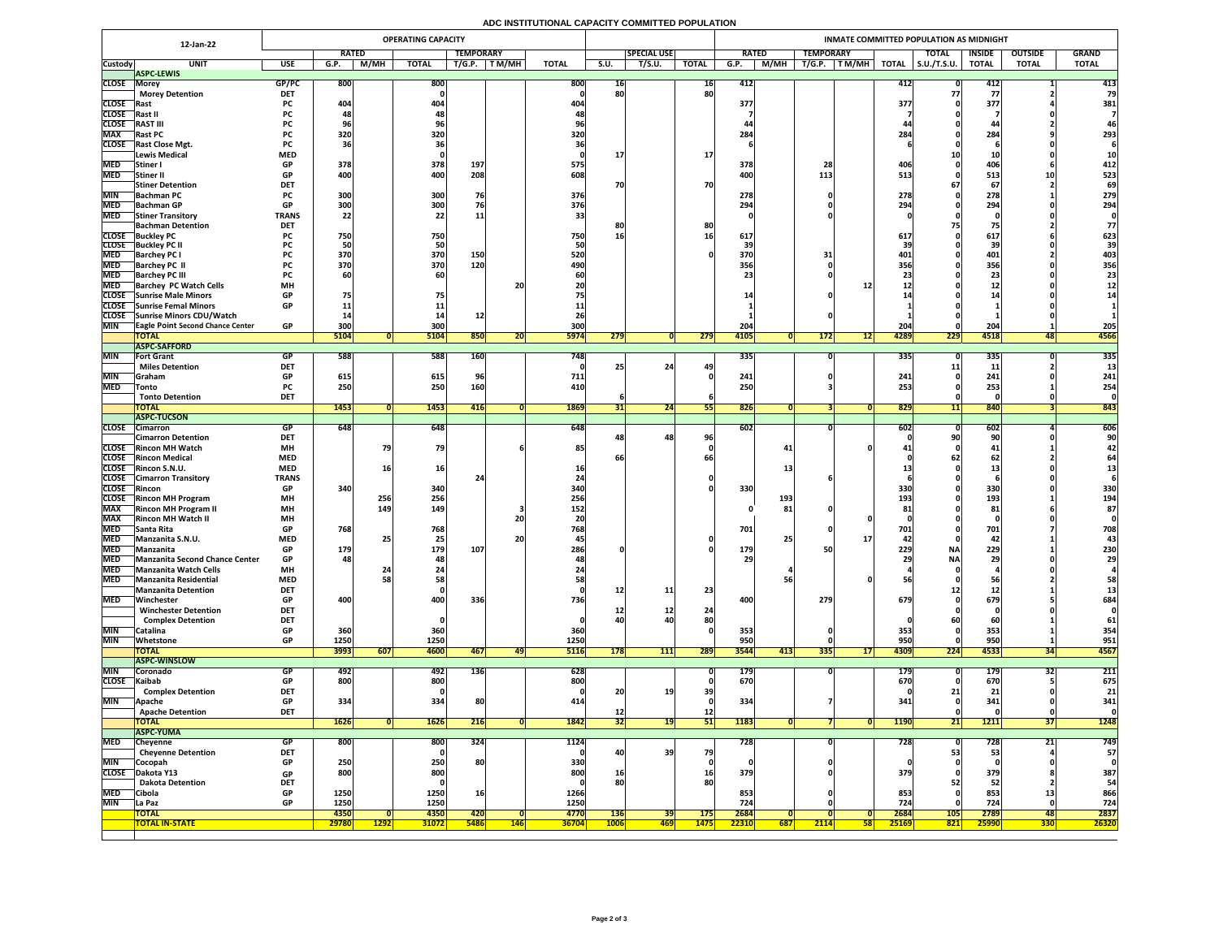# **ADC INSTITUTIONAL CAPACITY COMMITTED POPULATION**

|                              | 12-Jan-22                                                                  |                               |               |                 | <b>OPERATING CAPACITY</b> |                    |            |                      |                           |                     |                           | <b>INMATE COMMITTED POPULATION AS MIDNIGHT</b> |             |                  |                 |                      |                      |                        |                         |               |  |  |  |
|------------------------------|----------------------------------------------------------------------------|-------------------------------|---------------|-----------------|---------------------------|--------------------|------------|----------------------|---------------------------|---------------------|---------------------------|------------------------------------------------|-------------|------------------|-----------------|----------------------|----------------------|------------------------|-------------------------|---------------|--|--|--|
|                              |                                                                            |                               | <b>RATED</b>  |                 |                           | <b>TEMPORARY</b>   |            |                      |                           | <b>SPECIAL USE</b>  |                           | <b>RATED</b>                                   |             | <b>TEMPORARY</b> |                 |                      | <b>TOTAL</b>         | <b>INSIDE</b>          | <b>OUTSIDE</b>          | <b>GRAND</b>  |  |  |  |
| <b>Custody</b>               | <b>UNIT</b><br><b>ASPC-LEWIS</b>                                           | <b>USE</b>                    | G.P.          | M/MH            | <b>TOTAL</b>              | T/G.P.             | T M/MH     | <b>TOTAL</b>         | <b>S.U.</b>               | $\overline{T/S.U.}$ | <b>TOTAL</b>              | G.P.                                           | <b>M/MH</b> | T/G.P.           | <b>TM/MH</b>    | <b>TOTAL</b>         | $\vert$ S.U./T.S.U.  | <b>TOTAL</b>           | <b>TOTAL</b>            | <b>TOTAL</b>  |  |  |  |
| <b>CLOSE</b>                 | Morey                                                                      | GP/PC                         | 800           |                 | 800                       |                    |            | 800                  | 16                        |                     | <b>16</b>                 | 412                                            |             |                  |                 | 412                  |                      | 412                    |                         | 413           |  |  |  |
|                              | <b>Morey Detention</b>                                                     | <b>DET</b>                    |               |                 |                           |                    |            |                      | 80                        |                     | 80                        |                                                |             |                  |                 |                      |                      |                        |                         | 79            |  |  |  |
| <b>CLOSE</b>                 | <b>IRast</b>                                                               | <b>PC</b>                     | 404           |                 | 404                       |                    |            | 404                  |                           |                     |                           | 377                                            |             |                  |                 | 377                  |                      | 377                    |                         | 381           |  |  |  |
| <b>CLOSE</b>                 | <b> Rast I</b>                                                             | <b>PC</b>                     |               |                 |                           |                    |            |                      |                           |                     |                           |                                                |             |                  |                 |                      |                      |                        |                         |               |  |  |  |
| <b>CLOSE</b>                 | <b>RAST III</b>                                                            | <b>PC</b>                     |               |                 |                           |                    |            |                      |                           |                     |                           |                                                |             |                  |                 |                      |                      | 44                     |                         |               |  |  |  |
| <b>MAX</b>                   | <b>Rast PC</b>                                                             | <b>PC</b>                     | 320           |                 | 320                       |                    |            | 320                  |                           |                     |                           | 284                                            |             |                  |                 | 28                   |                      | 284                    |                         | 293           |  |  |  |
| <b>CLOSE</b>                 | <b>Rast Close Mgt.</b><br><b>Lewis Medical</b>                             | <b>PC</b><br><b>MED</b>       |               |                 | 361                       |                    |            |                      |                           |                     | <b>17</b>                 |                                                |             |                  |                 |                      |                      |                        |                         |               |  |  |  |
| <b>MED</b>                   | Stiner I                                                                   | <b>GP</b>                     | 378           |                 | 378                       | 197                |            | 575                  |                           |                     |                           | 378                                            |             |                  |                 | <b>40t</b>           |                      | 406                    |                         | 412           |  |  |  |
| <b>MED</b>                   | <b>Stiner II</b>                                                           | <b>GP</b>                     | 400           |                 | 400                       | 208                |            | 608.                 |                           |                     |                           | 400                                            |             | 113              |                 | 513                  |                      | 513                    |                         | 523           |  |  |  |
|                              | <b>Stiner Detention</b>                                                    | <b>DET</b>                    |               |                 |                           |                    |            |                      |                           |                     | 70                        |                                                |             |                  |                 |                      |                      | 67                     |                         | 69            |  |  |  |
|                              | MIN Bachman PC                                                             | $\mathbf{D}$<br><b>PL</b>     | 300           |                 | 300                       |                    |            | 376                  |                           |                     |                           | 278                                            |             |                  |                 | 770<br>ZI 8          |                      | 770<br>278             |                         | 279           |  |  |  |
| <b>MED</b>                   | <b>IBachman GP</b>                                                         | <b>GP</b>                     | 300           |                 | 300                       |                    |            | 376                  |                           |                     |                           | 294                                            |             |                  |                 | 294                  |                      | 294                    |                         | 294           |  |  |  |
| <b>MED</b>                   | <b>Stiner Transitory</b>                                                   | <b>TRANS</b>                  | 22            |                 | 22                        | 11                 |            |                      |                           |                     |                           |                                                |             |                  |                 |                      |                      |                        |                         |               |  |  |  |
|                              | <b>Bachman Detention</b>                                                   | <b>DET</b>                    |               |                 |                           |                    |            |                      |                           |                     | 80                        |                                                |             |                  |                 |                      |                      |                        |                         |               |  |  |  |
| <b>CLOSE</b><br><b>CLOSE</b> | <b>Buckley PC</b><br><b>Buckley PC II</b>                                  | <b>PC</b>                     | 750           |                 | 750<br>50                 |                    |            | 750                  | 16                        |                     |                           | 617                                            |             |                  |                 | 617                  |                      | 617                    |                         | 623           |  |  |  |
| <b>MED</b>                   | <b>Barchey PC I</b>                                                        | <b>PC</b>                     | 370           |                 | 370                       | 150                |            | 520                  |                           |                     |                           | 370                                            |             |                  |                 | 401                  |                      | 401                    |                         | 403           |  |  |  |
| <b>MED</b>                   | <b>Barchey PC II</b>                                                       |                               | 370           |                 | 370                       | 120                |            | 490                  |                           |                     |                           | 356                                            |             |                  |                 | 356                  |                      | 356                    |                         | 356           |  |  |  |
| <b>MED</b>                   | <b>Barchey PC III</b>                                                      | <b>PC</b>                     | 60            |                 | 60                        |                    |            |                      |                           |                     |                           |                                                |             |                  |                 |                      |                      | 23                     |                         | 23            |  |  |  |
| <b>MED</b>                   | <b>Barchey PC Watch Cells</b>                                              | <b>MH</b>                     |               |                 |                           |                    | <b>20</b>  |                      |                           |                     |                           |                                                |             |                  |                 |                      |                      | ᆂᄼ                     |                         |               |  |  |  |
|                              | CLOSE Sunrise Male Minors                                                  | <b>GP</b>                     |               |                 |                           |                    |            |                      |                           |                     |                           |                                                |             |                  |                 |                      |                      |                        |                         |               |  |  |  |
|                              | CLOSE Sunrise Femal Minors                                                 | <b>GP</b>                     |               |                 |                           |                    |            |                      |                           |                     |                           |                                                |             |                  |                 |                      |                      |                        |                         |               |  |  |  |
| <b>MIN</b>                   | CLOSE Sunrise Minors CDU/Watch<br><b>TEagle Point Second Chance Center</b> | <b>GP</b>                     | 300           |                 | 300                       |                    |            | 300                  |                           |                     |                           | 204                                            |             |                  |                 | 204                  |                      | 204                    |                         | 205           |  |  |  |
|                              | <b>TOTAL</b>                                                               |                               | 5104          |                 | 5104                      | 850                | 20         | 5974                 | 279                       |                     | 279                       | 4105                                           |             | 172              |                 | 4289                 | 229                  | 4518                   | 48                      | 4566          |  |  |  |
|                              | <b>ASPC-SAFFORD</b>                                                        |                               |               |                 |                           |                    |            |                      |                           |                     |                           |                                                |             |                  |                 |                      |                      |                        |                         |               |  |  |  |
| MIN                          | <b>Fort Grant</b>                                                          | GP                            | 588           |                 | 588                       | <b>160</b>         |            | 748                  |                           |                     |                           | 335                                            |             |                  |                 | 335                  |                      | 335                    |                         | 335           |  |  |  |
|                              | <b>Miles Detention</b>                                                     | <b>DET</b>                    |               |                 |                           |                    |            |                      | 25                        | 24                  | 49                        |                                                |             |                  |                 |                      |                      | 11                     |                         |               |  |  |  |
| <b>MIN</b>                   | Graham                                                                     | <b>GP</b>                     | 615           |                 | 615                       | 96                 |            | 711                  |                           |                     |                           | 241                                            |             |                  |                 | 241                  |                      | 241                    |                         | 241           |  |  |  |
| <b>MED</b>                   | Tonto                                                                      | <b>PC</b>                     | 250           |                 | 250                       | 160                |            | 410                  |                           |                     |                           | 250                                            |             |                  |                 | 253                  |                      | 253                    |                         | 254           |  |  |  |
|                              | <b>Tonto Detention</b><br><b>TOTAL</b>                                     | <b>DET</b>                    | 1453          |                 | 1453                      | 416                |            | 1869                 |                           | 24                  | 55                        | 826                                            |             |                  |                 | 829                  |                      | 840                    |                         | 843           |  |  |  |
|                              | <b>ASPC-TUCSON</b>                                                         |                               |               |                 |                           |                    |            |                      |                           |                     |                           |                                                |             |                  |                 |                      |                      |                        |                         |               |  |  |  |
| <b>CLOSE</b>                 | Cimarron                                                                   | <b>GP</b>                     | 648           |                 | 648                       |                    |            | $\overline{648}$     |                           |                     |                           | $\overline{602}$                               |             |                  |                 | 602                  |                      | 602                    |                         | 606           |  |  |  |
|                              | <b>Cimarron Detention</b>                                                  | <b>DET</b>                    |               |                 |                           |                    |            |                      |                           | <b>48</b>           | 96                        |                                                |             |                  |                 |                      |                      | 90 <sub>1</sub>        |                         |               |  |  |  |
| <b>CLOSE</b>                 | <b>Rincon MH Watch</b>                                                     | <b>MH</b>                     |               |                 | 79                        |                    |            |                      |                           |                     |                           |                                                | 41          |                  |                 |                      |                      | 41                     |                         |               |  |  |  |
| <b>CLOSE</b>                 | <b>Rincon Medical</b>                                                      | <b>MED</b>                    |               |                 |                           |                    |            |                      |                           |                     |                           |                                                |             |                  |                 |                      |                      | 62                     |                         |               |  |  |  |
| <b>CLOSE</b>                 | <b>Rincon S.N.U.</b>                                                       | <b>MED</b>                    |               | 16 <sub>1</sub> | <b>16</b>                 |                    |            |                      |                           |                     |                           |                                                | <b>13</b>   |                  |                 |                      |                      |                        |                         |               |  |  |  |
| <b>CLOSE</b>                 | <b>CLOSE</b> Cimarron Transitory<br><b>Rincon</b>                          | <b>TRANS</b><br><b>GP</b>     | 340           |                 | 340                       |                    |            | 340.                 |                           |                     |                           | 330                                            |             |                  |                 | 330                  |                      | 330                    |                         | 330           |  |  |  |
| <b>CLOSE</b>                 | <b>Rincon MH Program</b>                                                   | <b>MH</b>                     |               | 256             | 256                       |                    |            | 256                  |                           |                     |                           |                                                | <b>193</b>  |                  |                 | 193                  |                      | 193                    |                         | 194           |  |  |  |
| <b>MAX</b>                   | <b>Rincon MH Program II</b>                                                | <b>MH</b>                     |               | 149             | 149                       |                    |            | 152                  |                           |                     |                           |                                                | 81          |                  |                 |                      |                      | 81                     |                         | 87            |  |  |  |
| <b>MAX</b>                   | <b>Rincon MH Watch II</b>                                                  | <b>MH</b>                     |               |                 |                           |                    | 20         |                      |                           |                     |                           |                                                |             |                  |                 |                      |                      |                        |                         |               |  |  |  |
|                              | MED Santa Rita                                                             | GP                            | 768           |                 | 768                       |                    |            | 768                  |                           |                     |                           | 701                                            |             |                  |                 | 701                  |                      | 701                    |                         | 708           |  |  |  |
| <b>MED</b>                   | Manzanita S.N.U.                                                           | <b>MED</b>                    |               |                 | 25                        |                    | 20         |                      |                           |                     |                           |                                                | 25          |                  |                 | <b>42.</b>           |                      | 42 <sub>1</sub>        |                         |               |  |  |  |
| <b>MED</b>                   | Manzanita                                                                  | <b>GP</b>                     | 179           |                 | 179                       | 107                |            | 286                  |                           |                     |                           | 179                                            |             |                  |                 | 229                  | <b>NA</b>            | 229                    |                         | 230           |  |  |  |
| <b>MED</b><br><b>MED</b>     | Manzanita Second Chance Center<br>Manzanita Watch Cells                    | <b>GP</b><br><b>MH</b>        | 48            |                 | 48                        |                    |            |                      |                           |                     |                           | <b>29</b>                                      |             |                  |                 |                      | <b>NA</b>            | 29                     |                         | 29            |  |  |  |
| <b>MED</b>                   | <b>Manzanita Residential</b>                                               | <b>MED</b>                    |               |                 | 58                        |                    |            |                      |                           |                     |                           |                                                |             |                  |                 |                      |                      |                        |                         |               |  |  |  |
|                              | <b>Manzanita Detention</b>                                                 | <b>DET</b>                    |               |                 |                           |                    |            |                      | <b>12</b>                 | 11                  | 23                        |                                                |             |                  |                 |                      |                      |                        |                         |               |  |  |  |
| <b>MED</b>                   | Winchester                                                                 | <b>GP</b>                     | 400           |                 | 400                       | 336                |            | 736                  |                           |                     |                           | 400                                            |             | 279              |                 | 679                  |                      | 679                    |                         | 684           |  |  |  |
|                              | <b>Winchester Detention</b>                                                | <b>DET</b>                    |               |                 |                           |                    |            |                      |                           | ∸∸                  | 2 <sub>4</sub>            |                                                |             |                  |                 |                      |                      |                        |                         |               |  |  |  |
|                              | <b>Complex Detention</b>                                                   | <b>DET</b>                    |               |                 |                           |                    |            |                      | 40                        |                     | 80                        |                                                |             |                  |                 |                      |                      | 60                     |                         |               |  |  |  |
| <b>MIN</b>                   | Catalina                                                                   | <b>GP</b>                     | 360           |                 | 360                       |                    |            | 360                  |                           |                     |                           | 353                                            |             |                  |                 | <b>353</b>           |                      | 353                    |                         | 354           |  |  |  |
| <b>MIN</b>                   | Whetstone                                                                  | <b>GP</b>                     | 1250<br>3993  |                 | 1250                      |                    |            | 1250                 |                           |                     |                           | 950<br>3544                                    |             |                  |                 | 950                  | 224                  | 950                    |                         | 951<br>4567   |  |  |  |
|                              | <b>TOTAL</b><br><b>ASPC-WINSLOW</b>                                        |                               |               | 607             | <b>4600</b>               | 467                |            | <b>5116</b>          | 178                       | 111                 | 289                       |                                                | 413         | <b>335</b>       | 17 <sup>1</sup> | 4309                 |                      | 4533                   | 34                      |               |  |  |  |
| <b>MIN</b>                   | Coronado                                                                   | <b>GP</b>                     | 492           |                 | 492                       | <b>136</b>         |            | 628                  |                           |                     |                           | <b>179</b>                                     |             |                  |                 | 179                  |                      | <b>179</b>             | 32                      | 211           |  |  |  |
| <b>CLOSE</b>                 | Kaibab                                                                     | <b>GP</b>                     | 800           |                 | 800                       |                    |            | 800                  |                           |                     |                           | 670                                            |             |                  |                 | <b>670</b>           |                      | 670                    |                         | 675           |  |  |  |
|                              | <b>Complex Detention</b>                                                   | <b>DFT</b><br>$\sim$ $ \cdot$ |               |                 |                           |                    |            |                      |                           |                     |                           |                                                |             |                  |                 |                      |                      | 21 <sup>1</sup>        |                         |               |  |  |  |
| MIN                          | Apache                                                                     | <b>GP</b>                     | 334           |                 | 334                       | 80                 |            | 414                  |                           |                     |                           | 334                                            |             |                  |                 | 341                  |                      | 341                    |                         | 341           |  |  |  |
|                              | <b>Apache Detention</b>                                                    | <b>DET</b>                    |               |                 |                           |                    |            |                      | <b>12</b>                 |                     | 12                        |                                                |             |                  |                 |                      |                      |                        |                         |               |  |  |  |
|                              | <b>TOTAL</b>                                                               |                               | 1626          |                 | <b>1626</b>               | 216                |            | 1842                 | 32                        | <b>19</b>           | 51                        | 1183                                           |             |                  |                 | <b>1190</b>          | 21                   | 1211                   | $31$                    | 1248          |  |  |  |
|                              | <b>ASPC-YUMA</b>                                                           |                               |               |                 |                           |                    |            |                      |                           |                     |                           |                                                |             |                  |                 |                      |                      |                        | 91                      | 749           |  |  |  |
| <b>MED</b>                   | Cheyenne<br><b>Cheyenne Detention</b>                                      | <b>GP</b><br><b>DET</b>       | 800           |                 | 800                       | 324                |            | 1124                 | 40                        | 39 <sup>°</sup>     | 79                        | 728                                            |             |                  |                 | 728                  | 53                   | 728<br>53 <sub>1</sub> | $\angle$ $\perp$        | 57            |  |  |  |
| <b>MIN</b>                   | Cocopah                                                                    | <b>GP</b>                     | 250           |                 | 250                       | 80                 |            | 330                  |                           |                     |                           |                                                |             |                  |                 |                      |                      |                        |                         |               |  |  |  |
| <b>CLOSE</b>                 | Dakota Y13                                                                 | <b>GP</b>                     | 800           |                 | 800                       |                    |            | 800                  | <b>16</b>                 |                     | <b>16</b>                 | 379                                            |             |                  |                 | <b>379</b>           |                      | 379                    |                         | 387           |  |  |  |
|                              | <b>Dakota Detention</b>                                                    | <b>DET</b>                    |               |                 |                           |                    |            |                      | 80                        |                     | 80                        |                                                |             |                  |                 |                      |                      | 52                     |                         | 54            |  |  |  |
| <b>MED</b>                   | Cibola                                                                     | <b>GP</b>                     | 1250          |                 | 1250                      | 16                 |            | 1266                 |                           |                     |                           | 853                                            |             |                  |                 | 853                  |                      | 853                    | ΨŚ                      | 866           |  |  |  |
| MIN                          | La Paz                                                                     | <b>GP</b>                     | 1250          |                 | 1250                      |                    |            | 1250                 |                           |                     |                           | 724                                            |             |                  |                 | 724                  |                      | 724                    |                         | 724           |  |  |  |
|                              | <b>TOTAL</b><br><b>TOTAL IN-STATE</b>                                      |                               | 4350<br>29780 | <b>1292</b>     | 4350<br><b>31072</b>      | 420<br><b>5486</b> | <b>146</b> | 4770<br><b>36704</b> | <b>136</b><br><b>1006</b> | 39<br><b>469</b>    | <b>175</b><br><b>1475</b> | 2684<br>22310                                  | 687         | 2114             | 58              | 2684<br><b>25169</b> | $\boxed{105}$<br>821 | 2789<br>25990          | <b>48</b><br><b>330</b> | 2837<br>26320 |  |  |  |
|                              |                                                                            |                               |               |                 |                           |                    |            |                      |                           |                     |                           |                                                |             |                  |                 |                      |                      |                        |                         |               |  |  |  |